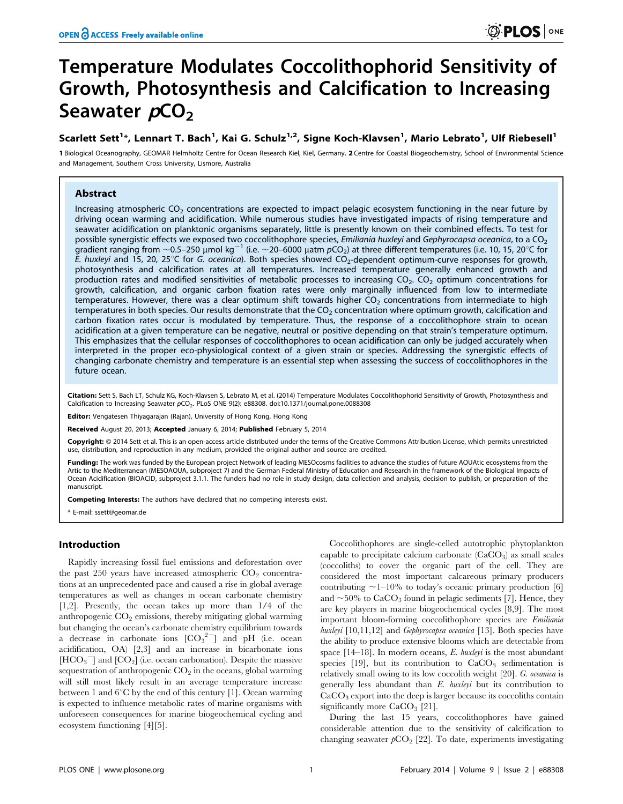# Temperature Modulates Coccolithophorid Sensitivity of Growth, Photosynthesis and Calcification to Increasing Seawater  $pCO<sub>2</sub>$

# Scarlett Sett<sup>1</sup>\*, Lennart T. Bach<sup>1</sup>, Kai G. Schulz<sup>1,2</sup>, Signe Koch-Klavsen<sup>1</sup>, Mario Lebrato<sup>1</sup>, Ulf Riebesell<sup>1</sup>

1 Biological Oceanography, GEOMAR Helmholtz Centre for Ocean Research Kiel, Kiel, Germany, 2 Centre for Coastal Biogeochemistry, School of Environmental Science and Management, Southern Cross University, Lismore, Australia

# Abstract

Increasing atmospheric  $CO<sub>2</sub>$  concentrations are expected to impact pelagic ecosystem functioning in the near future by driving ocean warming and acidification. While numerous studies have investigated impacts of rising temperature and seawater acidification on planktonic organisms separately, little is presently known on their combined effects. To test for possible synergistic effects we exposed two coccolithophore species, Emiliania huxleyi and Gephyrocapsa oceanica, to a  $CO<sub>2</sub>$ gradient ranging from  $\sim$  0.5–250 µmol kg<sup>-1</sup> (i.e.  $\sim$  20–6000 µatm pCO<sub>2</sub>) at three different temperatures (i.e. 10, 15, 20°C for E. huxleyi and 15, 20, 25 $\degree$ C for G. oceanica). Both species showed CO<sub>2</sub>-dependent optimum-curve responses for growth, photosynthesis and calcification rates at all temperatures. Increased temperature generally enhanced growth and production rates and modified sensitivities of metabolic processes to increasing  $CO<sub>2</sub>$ .  $CO<sub>2</sub>$  optimum concentrations for growth, calcification, and organic carbon fixation rates were only marginally influenced from low to intermediate temperatures. However, there was a clear optimum shift towards higher  $CO<sub>2</sub>$  concentrations from intermediate to high temperatures in both species. Our results demonstrate that the  $CO<sub>2</sub>$  concentration where optimum growth, calcification and carbon fixation rates occur is modulated by temperature. Thus, the response of a coccolithophore strain to ocean acidification at a given temperature can be negative, neutral or positive depending on that strain's temperature optimum. This emphasizes that the cellular responses of coccolithophores to ocean acidification can only be judged accurately when interpreted in the proper eco-physiological context of a given strain or species. Addressing the synergistic effects of changing carbonate chemistry and temperature is an essential step when assessing the success of coccolithophores in the future ocean.

Citation: Sett S, Bach LT, Schulz KG, Koch-Klavsen S, Lebrato M, et al. (2014) Temperature Modulates Coccolithophorid Sensitivity of Growth, Photosynthesis and Calcification to Increasing Seawater pCO2. PLoS ONE 9(2): e88308. doi:10.1371/journal.pone.0088308

Editor: Vengatesen Thiyagarajan (Rajan), University of Hong Kong, Hong Kong

Received August 20, 2013; Accepted January 6, 2014; Published February 5, 2014

**Copyright:** © 2014 Sett et al. This is an open-access article distributed under the terms of the [Creative Commons Attribution License,](http://creativecommons.org/licenses/by/4.0/) which permits unrestricted use, distribution, and reproduction in any medium, provided the original author and source are credited.

Funding: The work was funded by the European project Network of leading MESOcosms facilities to advance the studies of future AQUAtic ecosystems from the Artic to the Mediterranean (MESOAQUA, subproject 7) and the German Federal Ministry of Education and Research in the framework of the Biological Impacts of Ocean Acidification (BIOACID, subproject 3.1.1. The funders had no role in study design, data collection and analysis, decision to publish, or preparation of the manuscript.

Competing Interests: The authors have declared that no competing interests exist.

\* E-mail: ssett@geomar.de

# Introduction

Rapidly increasing fossil fuel emissions and deforestation over the past  $250$  years have increased atmospheric  $CO<sub>2</sub>$  concentrations at an unprecedented pace and caused a rise in global average temperatures as well as changes in ocean carbonate chemistry [1,2]. Presently, the ocean takes up more than 1/4 of the anthropogenic  $CO<sub>2</sub>$  emissions, thereby mitigating global warming but changing the ocean's carbonate chemistry equilibrium towards a decrease in carbonate ions  $[CO<sub>3</sub><sup>2</sup>$  and pH (i.e. ocean acidification, OA) [2,3] and an increase in bicarbonate ions [HCO<sub>3</sub><sup>-</sup>] and [CO<sub>2</sub>] (i.e. ocean carbonation). Despite the massive sequestration of anthropogenic CO<sub>2</sub> in the oceans, global warming will still most likely result in an average temperature increase between 1 and  $6^{\circ}$ C by the end of this century [1]. Ocean warming is expected to influence metabolic rates of marine organisms with unforeseen consequences for marine biogeochemical cycling and ecosystem functioning [4][5].

Coccolithophores are single-celled autotrophic phytoplankton capable to precipitate calcium carbonate  $(CaCO<sub>3</sub>)$  as small scales (coccoliths) to cover the organic part of the cell. They are considered the most important calcareous primary producers contributing  $\sim$ 1–10% to today's oceanic primary production [6] and  $\sim$  50% to CaCO<sub>3</sub> found in pelagic sediments [7]. Hence, they are key players in marine biogeochemical cycles [8,9]. The most important bloom-forming coccolithophore species are Emiliania huxleyi [10,11,12] and Gephyrocapsa oceanica [13]. Both species have the ability to produce extensive blooms which are detectable from space  $[14-18]$ . In modern oceans, E. huxleyi is the most abundant species [19], but its contribution to  $CaCO<sub>3</sub>$  sedimentation is relatively small owing to its low coccolith weight [20]. G. oceanica is generally less abundant than  $E$ . huxleyi but its contribution to  $CaCO<sub>3</sub>$  export into the deep is larger because its coccoliths contain significantly more  $CaCO<sub>3</sub>$  [21].

During the last 15 years, coccolithophores have gained considerable attention due to the sensitivity of calcification to changing seawater  $pCO<sub>2</sub>$  [22]. To date, experiments investigating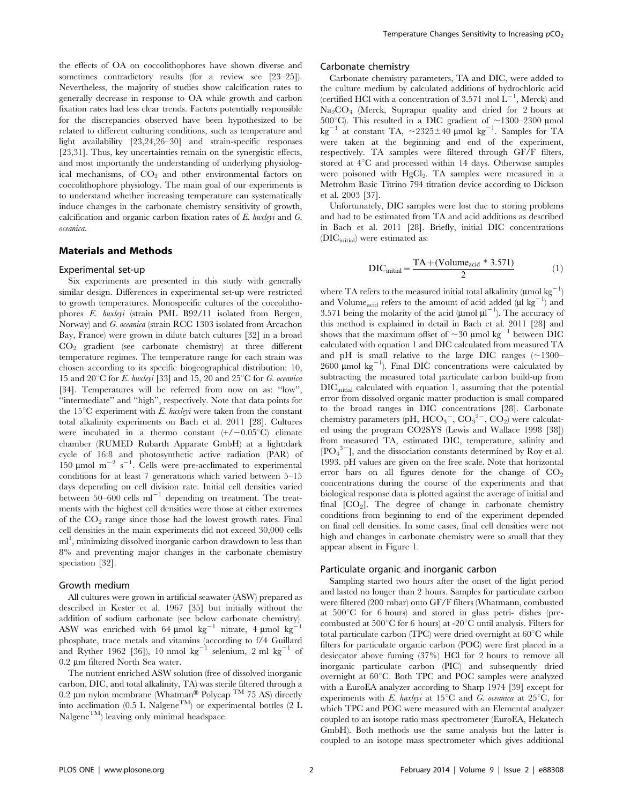the effects of OA on coccolithophores have shown diverse and sometimes contradictory results (for a review see [23–25]). Nevertheless, the majority of studies show calcification rates to generally decrease in response to OA while growth and carbon fixation rates had less clear trends. Factors potentially responsible for the discrepancies observed have been hypothesized to be related to different culturing conditions, such as temperature and light availability [23,24,26–30] and strain-specific responses [23,31]. Thus, key uncertainties remain on the synergistic effects, and most importantly the understanding of underlying physiological mechanisms, of  $CO<sub>2</sub>$  and other environmental factors on coccolithophore physiology. The main goal of our experiments is to understand whether increasing temperature can systematically induce changes in the carbonate chemistry sensitivity of growth, calcification and organic carbon fixation rates of E. huxleyi and G. oceanica.

## Materials and Methods

#### Experimental set-up

Six experiments are presented in this study with generally similar design. Differences in experimental set-up were restricted to growth temperatures. Monospecific cultures of the coccolithophores E. huxleyi (strain PML B92/11 isolated from Bergen, Norway) and G. oceanica (strain RCC 1303 isolated from Arcachon Bay, France) were grown in dilute batch cultures [32] in a broad CO2 gradient (see carbonate chemistry) at three different temperature regimes. The temperature range for each strain was chosen according to its specific biogeographical distribution: 10, 15 and 20 $^{\circ}$ C for *E. huxleyi* [33] and 15, 20 and 25 $^{\circ}$ C for *G. oceanica* [34]. Temperatures will be referred from now on as: "low", ''intermediate'' and ''high'', respectively. Note that data points for the  $15^{\circ}$ C experiment with *E. huxleyi* were taken from the constant total alkalinity experiments on Bach et al. 2011 [28]. Cultures were incubated in a thermo constant  $(+/-0.05^{\circ}C)$  climate chamber (RUMED Rubarth Apparate GmbH) at a light:dark cycle of 16:8 and photosynthetic active radiation (PAR) of 150 µmol  $m^{-2}$  s<sup>-1</sup>. Cells were pre-acclimated to experimental conditions for at least 7 generations which varied between 5–15 days depending on cell division rate. Initial cell densities varied between  $50-600$  cells  $ml^{-1}$  depending on treatment. The treatments with the highest cell densities were those at either extremes of the  $CO<sub>2</sub>$  range since those had the lowest growth rates. Final cell densities in the main experiments did not exceed 30,000 cells ml<sup>1</sup>, minimizing dissolved inorganic carbon drawdown to less than 8% and preventing major changes in the carbonate chemistry speciation [32].

## Growth medium

All cultures were grown in artificial seawater (ASW) prepared as described in Kester et al. 1967 [35] but initially without the addition of sodium carbonate (see below carbonate chemistry). ASW was enriched with 64  $\mu$ mol kg<sup>-1</sup> nitrate, 4  $\mu$ mol kg<sup>-1</sup> phosphate, trace metals and vitamins (according to f/4 Guillard and Ryther 1962 [36]), 10 nmol kg<sup>-1</sup> selenium, 2 ml kg<sup>-1</sup> of 0.2 um filtered North Sea water.

The nutrient enriched ASW solution (free of dissolved inorganic carbon, DIC, and total alkalinity, TA) was sterile filtered through a 0.2  $\mu$ m nylon membrane (Whatman® Polycap TM 75 AS) directly into acclimation (0.5 L Nalgene<sup>TM</sup>) or experimental bottles (2 L  $\mathbf{N}$ leaving only minimal headspace.

#### Carbonate chemistry

Carbonate chemistry parameters, TA and DIC, were added to the culture medium by calculated additions of hydrochloric acid (certified HCl with a concentration of 3.571 mol  $L^{-1}$ , Merck) and  $Na<sub>3</sub>CO<sub>3</sub>$  (Merck, Suprapur quality and dried for 2 hours at 500°C). This resulted in a DIC gradient of  $\sim$ 1300–2300 µmol kg<sup>-1</sup> at constant TA,  $\sim$ 2325 $\pm$ 40 µmol kg<sup>-1</sup>. Samples for TA were taken at the beginning and end of the experiment, respectively. TA samples were filtered through GF/F filters, stored at  $4^{\circ}$ C and processed within 14 days. Otherwise samples were poisoned with HgCl<sub>2</sub>. TA samples were measured in a Metrohm Basic Titrino 794 titration device according to Dickson et al. 2003 [37].

Unfortunately, DIC samples were lost due to storing problems and had to be estimated from TA and acid additions as described in Bach et al. 2011 [28]. Briefly, initial DIC concentrations (DICinitial) were estimated as:

$$
DIC_{initial} = \frac{TA + (Volume_{acid} * 3.571)}{2}
$$
 (1)

where TA refers to the measured initial total alkalinity ( $\mu$ mol kg<sup>-1</sup>) and Volume<sub>acid</sub> refers to the amount of acid added  $(\mu l \text{ kg}^{-1})$  and 3.571 being the molarity of the acid  $(\mu$ mol  $\mu$ l<sup>-1</sup>). The accuracy of this method is explained in detail in Bach et al. 2011 [28] and shows that the maximum offset of  $\sim 30$  µmol kg<sup>-1</sup> between DIC calculated with equation 1 and DIC calculated from measured TA and pH is small relative to the large DIC ranges  $(\sim 1300 2600 \mu$ mol kg<sup>-1</sup>). Final DIC concentrations were calculated by subtracting the measured total particulate carbon build-up from DIC<sub>initial</sub> calculated with equation 1, assuming that the potential error from dissolved organic matter production is small compared to the broad ranges in DIC concentrations [28]. Carbonate chemistry parameters (pH,  $HCO_3^-$ ,  $CO_3^2^-$ ,  $CO_2$ ) were calculated using the program CO2SYS (Lewis and Wallace 1998 [38]) from measured TA, estimated DIC, temperature, salinity and [PO4 <sup>3</sup>2], and the dissociation constants determined by Roy et al. 1993. pH values are given on the free scale. Note that horizontal error bars on all figures denote for the change of  $CO<sub>2</sub>$ concentrations during the course of the experiments and that biological response data is plotted against the average of initial and final [CO2]. The degree of change in carbonate chemistry conditions from beginning to end of the experiment depended on final cell densities. In some cases, final cell densities were not high and changes in carbonate chemistry were so small that they appear absent in Figure 1.

#### Particulate organic and inorganic carbon

Sampling started two hours after the onset of the light period and lasted no longer than 2 hours. Samples for particulate carbon were filtered (200 mbar) onto GF/F filters (Whatmann, combusted at  $500^{\circ}$ C for 6 hours) and stored in glass petri- dishes (precombusted at  $500^{\circ}$ C for 6 hours) at -20 $^{\circ}$ C until analysis. Filters for total particulate carbon (TPC) were dried overnight at  $60^{\circ}$ C while filters for particulate organic carbon (POC) were first placed in a desiccator above fuming (37%) HCl for 2 hours to remove all inorganic particulate carbon (PIC) and subsequently dried overnight at  $60^{\circ}$ C. Both TPC and POC samples were analyzed with a EuroEA analyzer according to Sharp 1974 [39] except for experiments with E. huxleyi at 15<sup>o</sup>C and G. oceanica at 25<sup>o</sup>C, for which TPC and POC were measured with an Elemental analyzer coupled to an isotope ratio mass spectrometer (EuroEA, Hekatech GmbH). Both methods use the same analysis but the latter is coupled to an isotope mass spectrometer which gives additional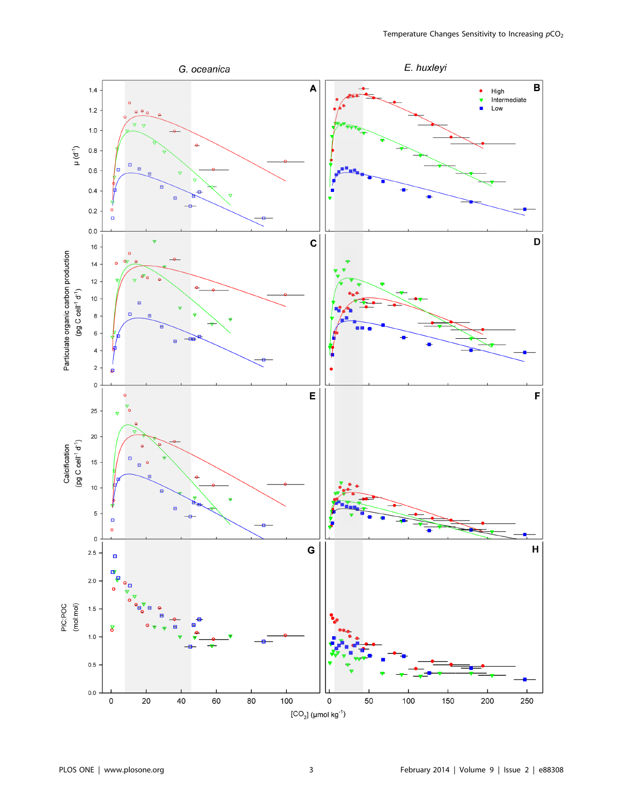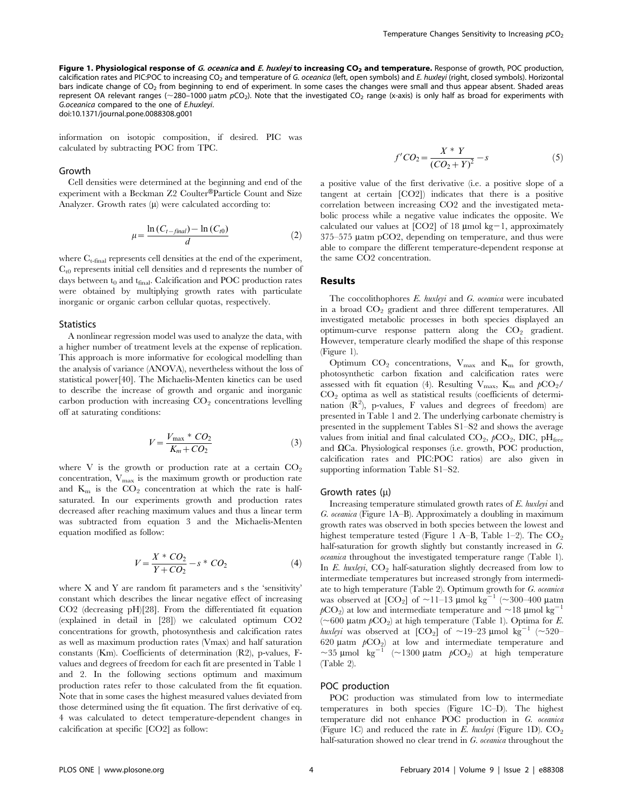Figure 1. Physiological response of G. oceanica and E. huxleyi to increasing CO<sub>2</sub> and temperature. Response of growth, POC production, calcification rates and PIC:POC to increasing CO<sub>2</sub> and temperature of G. oceanica (left, open symbols) and E. huxleyi (right, closed symbols). Horizontal bars indicate change of CO<sub>2</sub> from beginning to end of experiment. In some cases the changes were small and thus appear absent. Shaded areas represent OA relevant ranges (~280–1000 µatm  $pCO<sub>2</sub>$ ). Note that the investigated CO<sub>2</sub> range (x-axis) is only half as broad for experiments with G.oceanica compared to the one of E.huxleyi.

doi:10.1371/journal.pone.0088308.g001

information on isotopic composition, if desired. PIC was calculated by subtracting POC from TPC.

#### Growth

Cell densities were determined at the beginning and end of the experiment with a Beckman Z2 Coulter®Particle Count and Size Analyzer. Growth rates  $(\mu)$  were calculated according to:

$$
\mu = \frac{\ln\left(C_{t-final}\right) - \ln\left(C_{t0}\right)}{d} \tag{2}
$$

where  $C_{t-final}$  represents cell densities at the end of the experiment,  $C_{t0}$  represents initial cell densities and d represents the number of days between  $t_0$  and  $t_{final}$ . Calcification and POC production rates were obtained by multiplying growth rates with particulate inorganic or organic carbon cellular quotas, respectively.

#### **Statistics**

A nonlinear regression model was used to analyze the data, with a higher number of treatment levels at the expense of replication. This approach is more informative for ecological modelling than the analysis of variance (ANOVA), nevertheless without the loss of statistical power[40]. The Michaelis-Menten kinetics can be used to describe the increase of growth and organic and inorganic carbon production with increasing  $CO<sub>2</sub>$  concentrations levelling off at saturating conditions:

$$
V = \frac{V_{\text{max}} * CO_2}{K_m + CO_2}
$$
 (3)

where V is the growth or production rate at a certain  $CO<sub>2</sub>$ concentration,  $V_{\text{max}}$  is the maximum growth or production rate and  $K_m$  is the  $CO_2$  concentration at which the rate is halfsaturated. In our experiments growth and production rates decreased after reaching maximum values and thus a linear term was subtracted from equation 3 and the Michaelis-Menten equation modified as follow:

$$
V = \frac{X * CO_2}{Y + CO_2} - s * CO_2
$$
 (4)

where X and Y are random fit parameters and s the 'sensitivity' constant which describes the linear negative effect of increasing CO2 (decreasing pH)[28]. From the differentiated fit equation (explained in detail in [28]) we calculated optimum CO2 concentrations for growth, photosynthesis and calcification rates as well as maximum production rates (Vmax) and half saturation constants (Km). Coefficients of determination (R2), p-values, Fvalues and degrees of freedom for each fit are presented in Table 1 and 2. In the following sections optimum and maximum production rates refer to those calculated from the fit equation. Note that in some cases the highest measured values deviated from those determined using the fit equation. The first derivative of eq. 4 was calculated to detect temperature-dependent changes in calcification at specific [CO2] as follow:

$$
f'CO_2 = \frac{X * Y}{(CO_2 + Y)^2} - s
$$
 (5)

a positive value of the first derivative (i.e. a positive slope of a tangent at certain [CO2]) indicates that there is a positive correlation between increasing CO2 and the investigated metabolic process while a negative value indicates the opposite. We calculated our values at  $[CO2]$  of 18 µmol kg-1, approximately  $375-575$  µatm pCO2, depending on temperature, and thus were able to compare the different temperature-dependent response at the same CO2 concentration.

#### Results

The coccolithophores E. huxleyi and G. oceanica were incubated in a broad  $CO<sub>2</sub>$  gradient and three different temperatures. All investigated metabolic processes in both species displayed an optimum-curve response pattern along the  $CO<sub>2</sub>$  gradient. However, temperature clearly modified the shape of this response (Figure 1).

Optimum  $CO_2$  concentrations,  $V_{\text{max}}$  and  $K_{\text{m}}$  for growth, photosynthetic carbon fixation and calcification rates were assessed with fit equation (4). Resulting  $V_{\text{max}}$ ,  $K_{\text{m}}$  and  $pCO_2/$ CO2 optima as well as statistical results (coefficients of determination  $(R^2)$ , p-values, F values and degrees of freedom) are presented in Table 1 and 2. The underlying carbonate chemistry is presented in the supplement Tables S1–S2 and shows the average values from initial and final calculated  $CO_2$ ,  $pCO_2$ , DIC,  $pH<sub>free</sub>$ and  $\Omega$ Ca. Physiological responses (i.e. growth, POC production, calcification rates and PIC:POC ratios) are also given in supporting information Table S1–S2.

#### Growth rates  $(\mu)$

Increasing temperature stimulated growth rates of E. huxleyi and G. oceanica (Figure 1A–B). Approximately a doubling in maximum growth rates was observed in both species between the lowest and highest temperature tested (Figure 1 A–B, Table 1–2). The  $CO<sub>2</sub>$ half-saturation for growth slightly but constantly increased in G. oceanica throughout the investigated temperature range (Table 1). In  $E$ . huxleyi,  $CO<sub>2</sub>$  half-saturation slightly decreased from low to intermediate temperatures but increased strongly from intermediate to high temperature (Table 2). Optimum growth for G. oceanica was observed at  $\text{[CO}_2\text{]}$  of  $\sim$ 11–13 µmol kg<sup>-1</sup> ( $\sim$ 300–400 µatm  $pCO<sub>2</sub>$ ) at low and intermediate temperature and  $\sim$ 18 µmol kg<sup>-1</sup>  $(\sim 600 \text{ µatm } pCO_2)$  at high temperature (Table 1). Optima for E. huxleyi was observed at  $[CO_2]$  of  $\sim$ 19–23 µmol kg<sup>-1</sup> ( $\sim$ 520– 620 µatm  $pCO_2$  at low and intermediate temperature and ~35 µmol kg<sup>-1</sup> (~1300 µatm  $pCO_2$ ) at high temperature  $\sim$ 1300 µatm  $pCO<sub>2</sub>$  at high temperature (Table 2).

## POC production

POC production was stimulated from low to intermediate temperatures in both species (Figure 1C–D). The highest temperature did not enhance POC production in G. oceanica (Figure 1C) and reduced the rate in  $E$ . huxleyi (Figure 1D).  $CO<sub>2</sub>$ half-saturation showed no clear trend in G. oceanica throughout the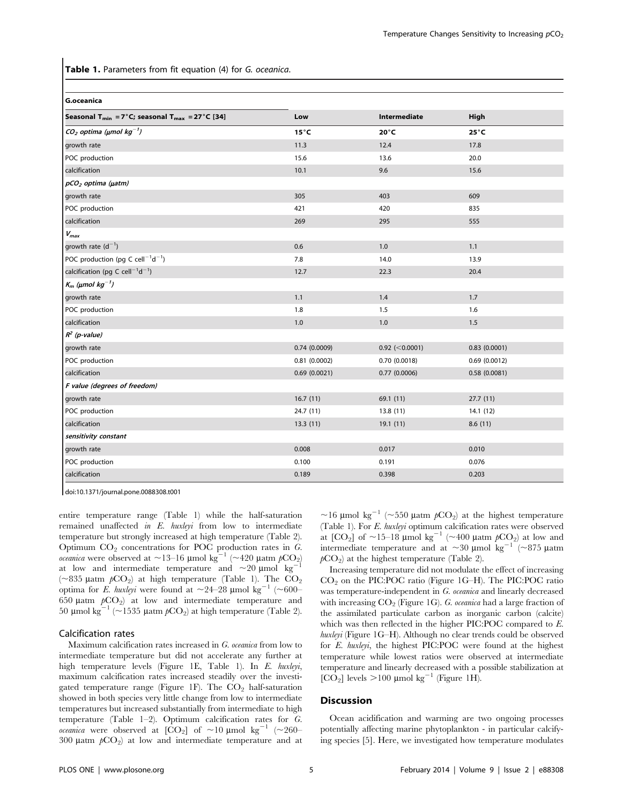Table 1. Parameters from fit equation (4) for G. oceanica.

| G.oceanica                                                             |                |                  |                |
|------------------------------------------------------------------------|----------------|------------------|----------------|
| Seasonal T <sub>min</sub> = 7°C; seasonal T <sub>max</sub> = 27°C [34] | Low            | Intermediate     | High           |
| $CO2$ optima (umol kg <sup>-1</sup> )                                  | $15^{\circ}$ C | $20^{\circ}$ C   | $25^{\circ}$ C |
| growth rate                                                            | 11.3           | 12.4             | 17.8           |
| POC production                                                         | 15.6           | 13.6             | 20.0           |
| calcification                                                          | 10.1           | 9.6              | 15.6           |
| $pCO2$ optima ( $\mu$ atm)                                             |                |                  |                |
| growth rate                                                            | 305            | 403              | 609            |
| POC production                                                         | 421            | 420              | 835            |
| calcification                                                          | 269            | 295              | 555            |
| $V_{max}$                                                              |                |                  |                |
| growth rate $(d^{-1})$                                                 | 0.6            | 1.0              | 1.1            |
| POC production (pg C cell <sup>-1</sup> d <sup>-1</sup> )              | 7.8            | 14.0             | 13.9           |
| calcification (pg C cell <sup>-1</sup> d <sup>-1</sup> )               | 12.7           | 22.3             | 20.4           |
| $K_m$ (µmol $kg^{-1}$ )                                                |                |                  |                |
| growth rate                                                            | 1.1            | 1.4              | 1.7            |
| POC production                                                         | 1.8            | 1.5              | 1.6            |
| calcification                                                          | 1.0            | 1.0              | 1.5            |
| $R^2$ (p-value)                                                        |                |                  |                |
| growth rate                                                            | 0.74(0.0009)   | $0.92$ (<0.0001) | 0.83(0.0001)   |
| POC production                                                         | 0.81(0.0002)   | 0.70(0.0018)     | 0.69(0.0012)   |
| calcification                                                          | 0.69(0.0021)   | 0.77(0.0006)     | 0.58(0.0081)   |
| F value (degrees of freedom)                                           |                |                  |                |
| growth rate                                                            | 16.7(11)       | 69.1 (11)        | 27.7(11)       |
| POC production                                                         | 24.7 (11)      | 13.8(11)         | 14.1(12)       |
| calcification                                                          | 13.3(11)       | 19.1(11)         | 8.6(11)        |
| sensitivity constant                                                   |                |                  |                |
| growth rate                                                            | 0.008          | 0.017            | 0.010          |
| POC production                                                         | 0.100          | 0.191            | 0.076          |
| calcification                                                          | 0.189          | 0.398            | 0.203          |

doi:10.1371/journal.pone.0088308.t001

entire temperature range (Table 1) while the half-saturation remained unaffected in E. huxleyi from low to intermediate temperature but strongly increased at high temperature (Table 2). Optimum CO<sub>2</sub> concentrations for POC production rates in *G*. oceanica were observed at ~13–16 µmol kg<sup>-1</sup> (~420 µatm  $pCO_2$ ) at low and intermediate temperature and  $\sim 20 \mu$ mol kg<sup>-1</sup> (~835 µatm  $pCO_2$ ) at high temperature (Table 1). The  $CO_2$ optima for E. huxleyi were found at  $\sim$ 24–28 µmol kg<sup>-1</sup> ( $\sim$ 600– 650  $\mu$ atm  $pCO_2$ ) at low and intermediate temperature and 50 µmol kg<sup>-1</sup> (~1535 µatm  $pCO_2$ ) at high temperature (Table 2).

## Calcification rates

Maximum calcification rates increased in G. oceanica from low to intermediate temperature but did not accelerate any further at high temperature levels (Figure 1E, Table 1). In E. huxleyi, maximum calcification rates increased steadily over the investigated temperature range (Figure 1F). The  $CO<sub>2</sub>$  half-saturation showed in both species very little change from low to intermediate temperatures but increased substantially from intermediate to high temperature (Table 1–2). Optimum calcification rates for G. oceanica were observed at  $[CO_2]$  of  $\sim 10 \text{ }\mu\text{mol kg}^{-1}$  ( $\sim 260-$ 300  $\mu$ atm  $pCO_2$  at low and intermediate temperature and at ~16 µmol kg<sup>-1</sup> (~550 µatm  $pCO_2$ ) at the highest temperature (Table 1). For E. huxleyi optimum calcification rates were observed at  $[CO_2]$  of  $\sim$ 15–18 µmol kg<sup>-1</sup> ( $\sim$ 400 µatm  $pCO_2$ ) at low and intermediate temperature and at  $\sim$ 30 µmol kg<sup>-1</sup> ( $\sim$ 875 µatm  $pCO<sub>2</sub>$ ) at the highest temperature (Table 2).

Increasing temperature did not modulate the effect of increasing  $CO<sub>2</sub>$  on the PIC:POC ratio (Figure 1G–H). The PIC:POC ratio was temperature-independent in G. oceanica and linearly decreased with increasing  $CO<sub>2</sub>$  (Figure 1G). G. oceanica had a large fraction of the assimilated particulate carbon as inorganic carbon (calcite) which was then reflected in the higher PIC:POC compared to E. huxleyi (Figure 1G–H). Although no clear trends could be observed for E. huxleyi, the highest PIC:POC were found at the highest temperature while lowest ratios were observed at intermediate temperature and linearly decreased with a possible stabilization at [CO<sub>2</sub>] levels  $>100$  µmol kg<sup>-1</sup> (Figure 1H).

## **Discussion**

Ocean acidification and warming are two ongoing processes potentially affecting marine phytoplankton - in particular calcifying species [5]. Here, we investigated how temperature modulates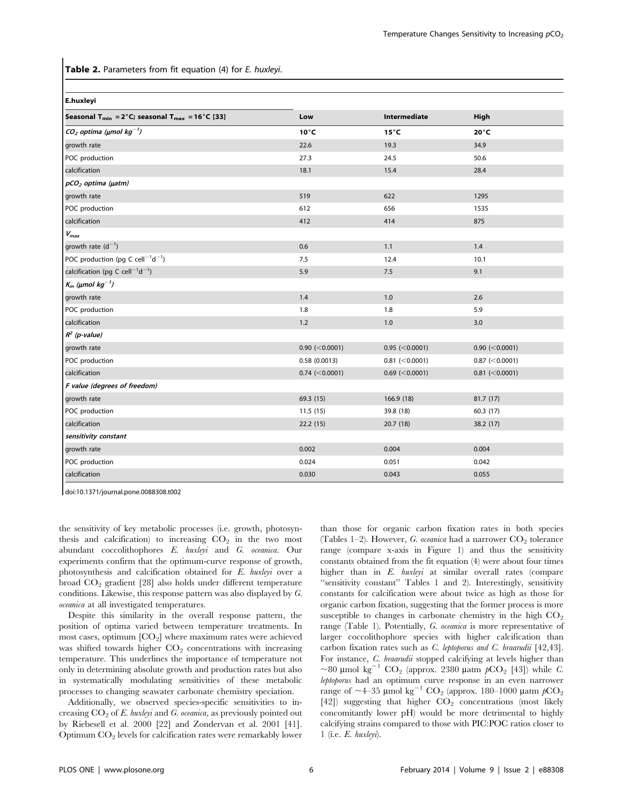Table 2. Parameters from fit equation (4) for E. huxleyi.

| E.huxleyi                                                              |                  |                  |                  |
|------------------------------------------------------------------------|------------------|------------------|------------------|
| Seasonal T <sub>min</sub> = 2°C; seasonal T <sub>max</sub> = 16°C [33] | Low              | Intermediate     | High             |
| $CO2$ optima (µmol kg <sup>-1</sup> )                                  | $10^{\circ}$ C   | $15^{\circ}$ C   | $20^{\circ}$ C   |
| growth rate                                                            | 22.6             | 19.3             | 34.9             |
| POC production                                                         | 27.3             | 24.5             | 50.6             |
| calcification                                                          | 18.1             | 15.4             | 28.4             |
| $pCO2$ optima ( $\mu$ atm)                                             |                  |                  |                  |
| growth rate                                                            | 519              | 622              | 1295             |
| POC production                                                         | 612              | 656              | 1535             |
| calcification                                                          | 412              | 414              | 875              |
| $V_{max}$                                                              |                  |                  |                  |
| growth rate $(d^{-1})$                                                 | 0.6              | 1.1              | 1.4              |
| POC production (pg C cell <sup>-1</sup> d <sup>-1</sup> )              | 7.5              | 12.4             | 10.1             |
| calcification (pg C cell <sup>-1</sup> d <sup>-1</sup> )               | 5.9              | 7.5              | 9.1              |
| $K_m$ (µmol $kg^{-1}$ )                                                |                  |                  |                  |
| growth rate                                                            | 1.4              | 1.0              | 2.6              |
| POC production                                                         | 1.8              | 1.8              | 5.9              |
| calcification                                                          | 1.2              | 1.0              | 3.0              |
| $R^2$ (p-value)                                                        |                  |                  |                  |
| growth rate                                                            | $0.90$ (<0.0001) | $0.95$ (<0.0001) | $0.90$ (<0.0001) |
| POC production                                                         | 0.58(0.0013)     | $0.81$ (<0.0001) | $0.87$ (<0.0001) |
| calcification                                                          | $0.74$ (<0.0001) | $0.69$ (<0.0001) | $0.81$ (<0.0001) |
| F value (degrees of freedom)                                           |                  |                  |                  |
| growth rate                                                            | 69.3 (15)        | 166.9 (18)       | 81.7 (17)        |
| POC production                                                         | 11.5(15)         | 39.8 (18)        | 60.3(17)         |
| calcification                                                          | 22.2(15)         | 20.7 (18)        | 38.2 (17)        |
| sensitivity constant                                                   |                  |                  |                  |
| growth rate                                                            | 0.002            | 0.004            | 0.004            |
| POC production                                                         | 0.024            | 0.051            | 0.042            |
| calcification                                                          | 0.030            | 0.043            | 0.055            |

doi:10.1371/journal.pone.0088308.t002

the sensitivity of key metabolic processes (i.e. growth, photosynthesis and calcification) to increasing  $CO<sub>2</sub>$  in the two most abundant coccolithophores E. huxleyi and G. oceanica. Our experiments confirm that the optimum-curve response of growth, photosynthesis and calcification obtained for E. huxleyi over a broad CO2 gradient [28] also holds under different temperature conditions. Likewise, this response pattern was also displayed by G. oceanica at all investigated temperatures.

Despite this similarity in the overall response pattern, the position of optima varied between temperature treatments. In most cases, optimum  $[CO_2]$  where maximum rates were achieved was shifted towards higher  $CO<sub>2</sub>$  concentrations with increasing temperature. This underlines the importance of temperature not only in determining absolute growth and production rates but also in systematically modulating sensitivities of these metabolic processes to changing seawater carbonate chemistry speciation.

Additionally, we observed species-specific sensitivities to increasing  $CO<sub>2</sub>$  of E. huxleyi and G. oceanica, as previously pointed out by Riebesell et al. 2000 [22] and Zondervan et al. 2001 [41]. Optimum CO<sub>2</sub> levels for calcification rates were remarkably lower than those for organic carbon fixation rates in both species (Tables 1–2). However, *G. oceanica* had a narrower  $CO<sub>2</sub>$  tolerance range (compare x-axis in Figure 1) and thus the sensitivity constants obtained from the fit equation (4) were about four times higher than in E. huxleyi at similar overall rates (compare ''sensitivity constant'' Tables 1 and 2). Interestingly, sensitivity constants for calcification were about twice as high as those for organic carbon fixation, suggesting that the former process is more susceptible to changes in carbonate chemistry in the high  $CO<sub>2</sub>$ range (Table 1). Potentially, G. oceanica is more representative of larger coccolithophore species with higher calcification than carbon fixation rates such as C. leptoporus and C. braarudii [42,43]. For instance, *C. braarudii* stopped calcifying at levels higher than ~80 µmol kg<sup>-1</sup> CO<sub>2</sub> (approx. 2380 µatm  $p$ CO<sub>2</sub> [43]) while C. leptoporus had an optimum curve response in an even narrower range of  $\sim$ 4–35 µmol kg<sup>-1</sup> CO<sub>2</sub> (approx. 180–1000 µatm  $pCO_2$ ) [42]) suggesting that higher  $CO<sub>2</sub>$  concentrations (most likely concomitantly lower pH) would be more detrimental to highly calcifying strains compared to those with PIC:POC ratios closer to 1 (i.e. E. huxleyi).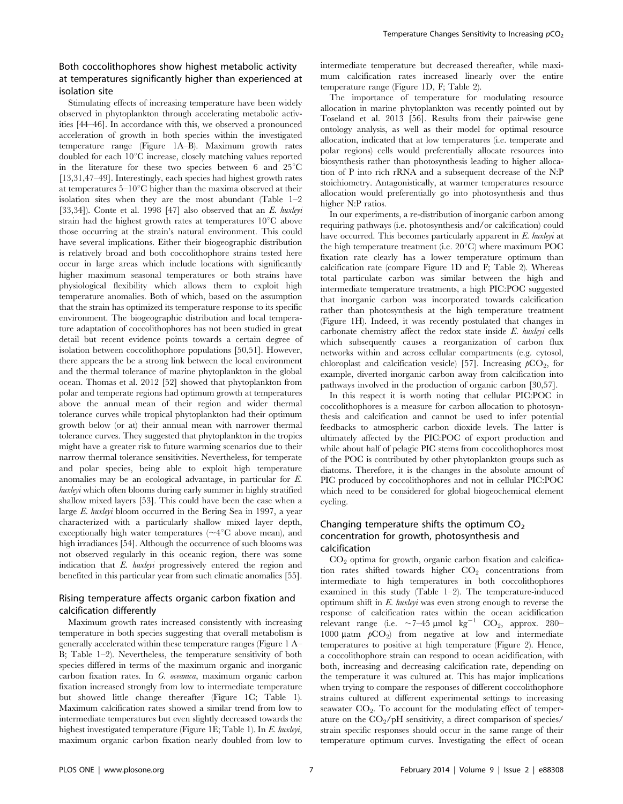# Both coccolithophores show highest metabolic activity at temperatures significantly higher than experienced at isolation site

Stimulating effects of increasing temperature have been widely observed in phytoplankton through accelerating metabolic activities [44–46]. In accordance with this, we observed a pronounced acceleration of growth in both species within the investigated temperature range (Figure 1A–B). Maximum growth rates doubled for each  $10^{\circ}$ C increase, closely matching values reported in the literature for these two species between 6 and  $25^{\circ}$ C [13,31,47–49]. Interestingly, each species had highest growth rates at temperatures  $5-10^{\circ}$ C higher than the maxima observed at their isolation sites when they are the most abundant (Table 1–2 [33,34]). Conte et al. 1998 [47] also observed that an  $E$ . huxleyi strain had the highest growth rates at temperatures  $10^{\circ}$ C above those occurring at the strain's natural environment. This could have several implications. Either their biogeographic distribution is relatively broad and both coccolithophore strains tested here occur in large areas which include locations with significantly higher maximum seasonal temperatures or both strains have physiological flexibility which allows them to exploit high temperature anomalies. Both of which, based on the assumption that the strain has optimized its temperature response to its specific environment. The biogeographic distribution and local temperature adaptation of coccolithophores has not been studied in great detail but recent evidence points towards a certain degree of isolation between coccolithophore populations [50,51]. However, there appears the be a strong link between the local environment and the thermal tolerance of marine phytoplankton in the global ocean. Thomas et al. 2012 [52] showed that phytoplankton from polar and temperate regions had optimum growth at temperatures above the annual mean of their region and wider thermal tolerance curves while tropical phytoplankton had their optimum growth below (or at) their annual mean with narrower thermal tolerance curves. They suggested that phytoplankton in the tropics might have a greater risk to future warming scenarios due to their narrow thermal tolerance sensitivities. Nevertheless, for temperate and polar species, being able to exploit high temperature anomalies may be an ecological advantage, in particular for E. huxleyi which often blooms during early summer in highly stratified shallow mixed layers [53]. This could have been the case when a large E. huxleyi bloom occurred in the Bering Sea in 1997, a year characterized with a particularly shallow mixed layer depth, exceptionally high water temperatures ( $\sim 4^{\circ}$ C above mean), and high irradiances [54]. Although the occurrence of such blooms was not observed regularly in this oceanic region, there was some indication that E. huxleyi progressively entered the region and benefited in this particular year from such climatic anomalies [55].

# Rising temperature affects organic carbon fixation and calcification differently

Maximum growth rates increased consistently with increasing temperature in both species suggesting that overall metabolism is generally accelerated within these temperature ranges (Figure 1 A– B; Table 1–2). Nevertheless, the temperature sensitivity of both species differed in terms of the maximum organic and inorganic carbon fixation rates. In G. oceanica, maximum organic carbon fixation increased strongly from low to intermediate temperature but showed little change thereafter (Figure 1C; Table 1). Maximum calcification rates showed a similar trend from low to intermediate temperatures but even slightly decreased towards the highest investigated temperature (Figure 1E; Table 1). In E. huxleyi, maximum organic carbon fixation nearly doubled from low to intermediate temperature but decreased thereafter, while maximum calcification rates increased linearly over the entire temperature range (Figure 1D, F; Table 2).

The importance of temperature for modulating resource allocation in marine phytoplankton was recently pointed out by Toseland et al. 2013 [56]. Results from their pair-wise gene ontology analysis, as well as their model for optimal resource allocation, indicated that at low temperatures (i.e. temperate and polar regions) cells would preferentially allocate resources into biosynthesis rather than photosynthesis leading to higher allocation of P into rich rRNA and a subsequent decrease of the N:P stoichiometry. Antagonistically, at warmer temperatures resource allocation would preferentially go into photosynthesis and thus higher N:P ratios.

In our experiments, a re-distribution of inorganic carbon among requiring pathways (i.e. photosynthesis and/or calcification) could have occurred. This becomes particularly apparent in E. huxleyi at the high temperature treatment (i.e.  $20^{\circ}$ C) where maximum POC fixation rate clearly has a lower temperature optimum than calcification rate (compare Figure 1D and F; Table 2). Whereas total particulate carbon was similar between the high and intermediate temperature treatments, a high PIC:POC suggested that inorganic carbon was incorporated towards calcification rather than photosynthesis at the high temperature treatment (Figure 1H). Indeed, it was recently postulated that changes in carbonate chemistry affect the redox state inside E. huxleyi cells which subsequently causes a reorganization of carbon flux networks within and across cellular compartments (e.g. cytosol, chloroplast and calcification vesicle) [57]. Increasing  $pCO<sub>2</sub>$ , for example, diverted inorganic carbon away from calcification into pathways involved in the production of organic carbon [30,57].

In this respect it is worth noting that cellular PIC:POC in coccolithophores is a measure for carbon allocation to photosynthesis and calcification and cannot be used to infer potential feedbacks to atmospheric carbon dioxide levels. The latter is ultimately affected by the PIC:POC of export production and while about half of pelagic PIC stems from coccolithophores most of the POC is contributed by other phytoplankton groups such as diatoms. Therefore, it is the changes in the absolute amount of PIC produced by coccolithophores and not in cellular PIC:POC which need to be considered for global biogeochemical element cycling.

# Changing temperature shifts the optimum  $CO<sub>2</sub>$ concentration for growth, photosynthesis and calcification

 $CO<sub>2</sub>$  optima for growth, organic carbon fixation and calcification rates shifted towards higher  $CO<sub>2</sub>$  concentrations from intermediate to high temperatures in both coccolithophores examined in this study (Table 1–2). The temperature-induced optimum shift in E. huxleyi was even strong enough to reverse the response of calcification rates within the ocean acidification relevant range (i.e.  $\sim$ 7–45 µmol kg<sup>-1</sup> CO<sub>2</sub>, approx. 280– 1000  $\mu$ atm  $pCO_2$  from negative at low and intermediate temperatures to positive at high temperature (Figure 2). Hence, a coccolithophore strain can respond to ocean acidification, with both, increasing and decreasing calcification rate, depending on the temperature it was cultured at. This has major implications when trying to compare the responses of different coccolithophore strains cultured at different experimental settings to increasing seawater  $CO<sub>2</sub>$ . To account for the modulating effect of temperature on the  $CO_2$ /pH sensitivity, a direct comparison of species/ strain specific responses should occur in the same range of their temperature optimum curves. Investigating the effect of ocean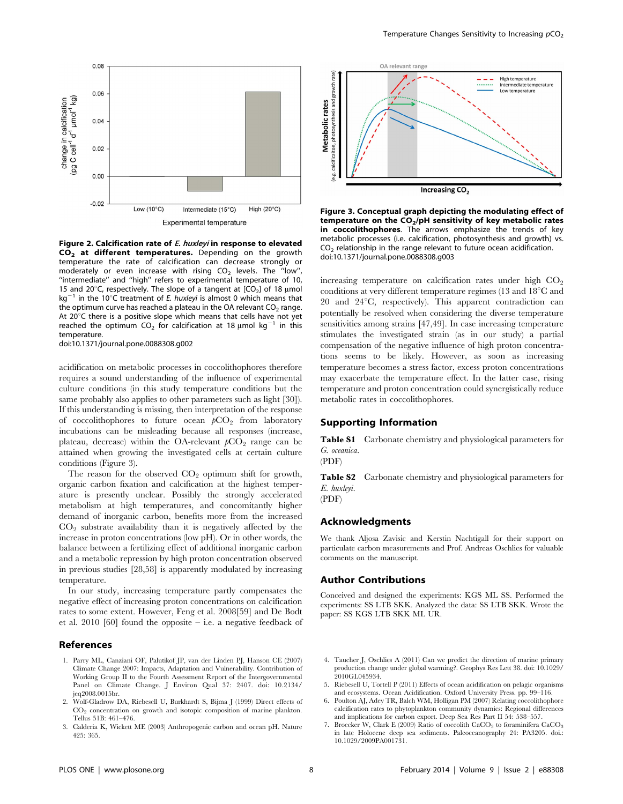

Figure 2. Calcification rate of E. huxleyi in response to elevated CO<sub>2</sub> at different temperatures. Depending on the growth temperature the rate of calcification can decrease strongly or moderately or even increase with rising  $CO<sub>2</sub>$  levels. The "low", ''intermediate'' and ''high'' refers to experimental temperature of 10, 15 and 20°C, respectively. The slope of a tangent at  $[CO<sub>2</sub>]$  of 18 µmol kg<sup>-1</sup> in the 10°C treatment of E. huxleyi is almost 0 which means that the optimum curve has reached a plateau in the OA relevant  $CO<sub>2</sub>$  range. At  $20^{\circ}$ C there is a positive slope which means that cells have not yet reached the optimum CO<sub>2</sub> for calcification at 18  $\mu$ mol kg<sup>-1</sup> in this temperature.

doi:10.1371/journal.pone.0088308.g002

acidification on metabolic processes in coccolithophores therefore requires a sound understanding of the influence of experimental culture conditions (in this study temperature conditions but the same probably also applies to other parameters such as light [30]). If this understanding is missing, then interpretation of the response of coccolithophores to future ocean  $pCO<sub>2</sub>$  from laboratory incubations can be misleading because all responses (increase, plateau, decrease) within the OA-relevant  $pCO<sub>2</sub>$  range can be attained when growing the investigated cells at certain culture conditions (Figure 3).

The reason for the observed  $CO<sub>2</sub>$  optimum shift for growth, organic carbon fixation and calcification at the highest temperature is presently unclear. Possibly the strongly accelerated metabolism at high temperatures, and concomitantly higher demand of inorganic carbon, benefits more from the increased  $CO<sub>2</sub>$  substrate availability than it is negatively affected by the increase in proton concentrations (low pH). Or in other words, the balance between a fertilizing effect of additional inorganic carbon and a metabolic repression by high proton concentration observed in previous studies [28,58] is apparently modulated by increasing temperature.

In our study, increasing temperature partly compensates the negative effect of increasing proton concentrations on calcification rates to some extent. However, Feng et al. 2008[59] and De Bodt et al. 2010 [60] found the opposite – i.e. a negative feedback of

#### References

- 1. Parry ML, Canziani OF, Palutikof JP, van der Linden PJ, Hanson CE (2007) Climate Change 2007: Impacts, Adaptation and Vulnerability. Contribution of Working Group II to the Fourth Assessment Report of the Intergovernmental Panel on Climate Change. J Environ Qual 37: 2407. doi: 10.2134/ jeq2008.0015br.
- 2. Wolf-Gladrow DA, Riebesell U, Burkhardt S, Bijma J (1999) Direct effects of CO2 concentration on growth and isotopic composition of marine plankton. Tellus 51B: 461–476.
- 3. Calderia K, Wickett ME (2003) Anthropogenic carbon and ocean pH. Nature 425: 365.



Figure 3. Conceptual graph depicting the modulating effect of temperature on the  $CO<sub>2</sub>/pH$  sensitivity of key metabolic rates in coccolithophores. The arrows emphasize the trends of key metabolic processes (i.e. calcification, photosynthesis and growth) vs.  $CO<sub>2</sub>$  relationship in the range relevant to future ocean acidification. doi:10.1371/journal.pone.0088308.g003

increasing temperature on calcification rates under high  $CO<sub>2</sub>$ conditions at very different temperature regimes (13 and  $18^{\circ}$ C and 20 and  $24^{\circ}$ C, respectively). This apparent contradiction can potentially be resolved when considering the diverse temperature sensitivities among strains [47,49]. In case increasing temperature stimulates the investigated strain (as in our study) a partial compensation of the negative influence of high proton concentrations seems to be likely. However, as soon as increasing temperature becomes a stress factor, excess proton concentrations may exacerbate the temperature effect. In the latter case, rising temperature and proton concentration could synergistically reduce metabolic rates in coccolithophores.

#### Supporting Information

Table S1 Carbonate chemistry and physiological parameters for G. oceanica.

(PDF)

Table S2 Carbonate chemistry and physiological parameters for E. huxleyi. (PDF)

## Acknowledgments

We thank Aljosa Zavisic and Kerstin Nachtigall for their support on particulate carbon measurements and Prof. Andreas Oschlies for valuable comments on the manuscript.

#### Author Contributions

Conceived and designed the experiments: KGS ML SS. Performed the experiments: SS LTB SKK. Analyzed the data: SS LTB SKK. Wrote the paper: SS KGS LTB SKK ML UR.

- 4. Taucher J, Oschlies A (2011) Can we predict the direction of marine primary production change under global warming?. Geophys Res Lett 38. doi: 10.1029/ <sup>2</sup>010GL045934.
- 5. Riebesell U, Tortell P (2011) Effects of ocean acidification on pelagic organisms and ecosystems. Ocean Acidification. Oxford University Press. pp. 99–116.
- 6. Poulton AJ, Adey TR, Balch WM, Holligan PM (2007) Relating coccolithophore calcification rates to phytoplankton community dynamics: Regional differences and implications for carbon export. Deep Sea Res Part II 54: 538–557.
- 7. Broecker W, Clark E (2009) Ratio of coccolith $\mathrm{CaCO}_{3}$  to foraminifera  $\mathrm{CaCO}_{3}$ in late Holocene deep sea sediments. Paleoceanography 24: PA3205. doi.: 10.1029/2009PA001731.